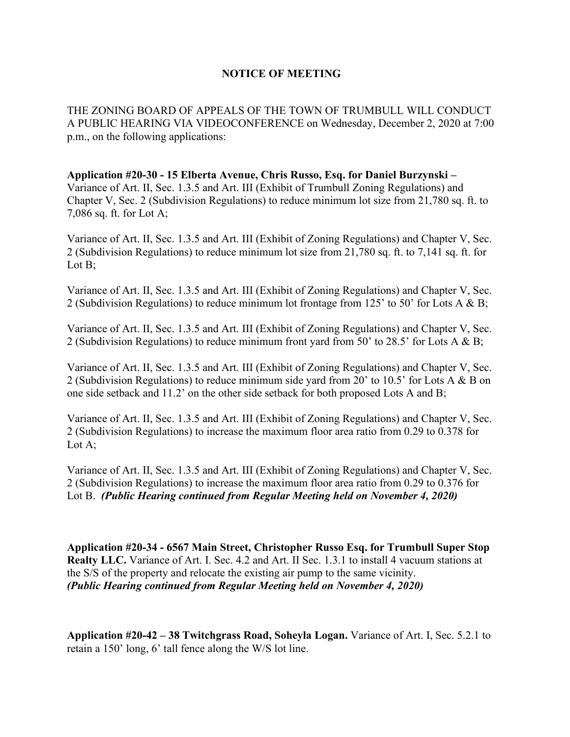## **NOTICE OF MEETING**

THE ZONING BOARD OF APPEALS OF THE TOWN OF TRUMBULL WILL CONDUCT A PUBLIC HEARING VIA VIDEOCONFERENCE on Wednesday, December 2, 2020 at 7:00 p.m., on the following applications:

**Application #20-30 - 15 Elberta Avenue, Chris Russo, Esq. for Daniel Burzynski –** Variance of Art. II, Sec. 1.3.5 and Art. III (Exhibit of Trumbull Zoning Regulations) and Chapter V, Sec. 2 (Subdivision Regulations) to reduce minimum lot size from 21,780 sq. ft. to 7,086 sq. ft. for Lot A;

Variance of Art. II, Sec. 1.3.5 and Art. III (Exhibit of Zoning Regulations) and Chapter V, Sec. 2 (Subdivision Regulations) to reduce minimum lot size from 21,780 sq. ft. to 7,141 sq. ft. for Lot B;

Variance of Art. II, Sec. 1.3.5 and Art. III (Exhibit of Zoning Regulations) and Chapter V, Sec. 2 (Subdivision Regulations) to reduce minimum lot frontage from 125' to 50' for Lots A & B;

Variance of Art. II, Sec. 1.3.5 and Art. III (Exhibit of Zoning Regulations) and Chapter V, Sec. 2 (Subdivision Regulations) to reduce minimum front yard from 50' to 28.5' for Lots A & B;

Variance of Art. II, Sec. 1.3.5 and Art. III (Exhibit of Zoning Regulations) and Chapter V, Sec. 2 (Subdivision Regulations) to reduce minimum side yard from 20' to 10.5' for Lots A & B on one side setback and 11.2' on the other side setback for both proposed Lots A and B;

Variance of Art. II, Sec. 1.3.5 and Art. III (Exhibit of Zoning Regulations) and Chapter V, Sec. 2 (Subdivision Regulations) to increase the maximum floor area ratio from 0.29 to 0.378 for Lot A;

Variance of Art. II, Sec. 1.3.5 and Art. III (Exhibit of Zoning Regulations) and Chapter V, Sec. 2 (Subdivision Regulations) to increase the maximum floor area ratio from 0.29 to 0.376 for Lot B. *(Public Hearing continued from Regular Meeting held on November 4, 2020)*

**Application #20-34 - 6567 Main Street, Christopher Russo Esq. for Trumbull Super Stop Realty LLC.** Variance of Art. I. Sec. 4.2 and Art. II Sec. 1.3.1 to install 4 vacuum stations at the S/S of the property and relocate the existing air pump to the same vicinity. *(Public Hearing continued from Regular Meeting held on November 4, 2020)*

**Application #20-42 – 38 Twitchgrass Road, Soheyla Logan.** Variance of Art. I, Sec. 5.2.1 to retain a 150' long, 6' tall fence along the W/S lot line.